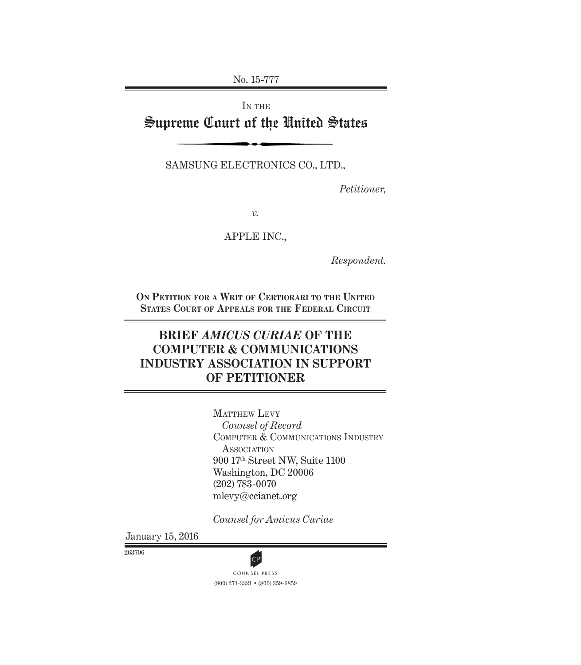No. 15-777

# IN THE Supreme Court of the United States

SAMSUNG ELECTRONICS CO., LTD.,

*Petitioner,*

*v.*

APPLE INC.,

*Respondent.*

**On Petition for a Writ of Certiorari to the United States Court of Appeals for the Federal Circuit**

## **BRIEF** *AMICUS CURIAE* **OF THE COMPUTER & COMMUNICATIONS INDUSTRY ASSOCIATION IN SUPPORT OF PETITIONER**

MATTHEW LEVY *Counsel of Record* COMPUTER & COMMUNICATIONS INDUSTRY **ASSOCIATION** 900 17th Street NW, Suite 1100 Washington, DC 20006 (202) 783-0070 mlevy@ccianet.org

*Counsel for Amicus Curiae*

January 15, 2016

263706



(800) 274-3321 • (800) 359-6859 CP<br>COUNSEL PRESS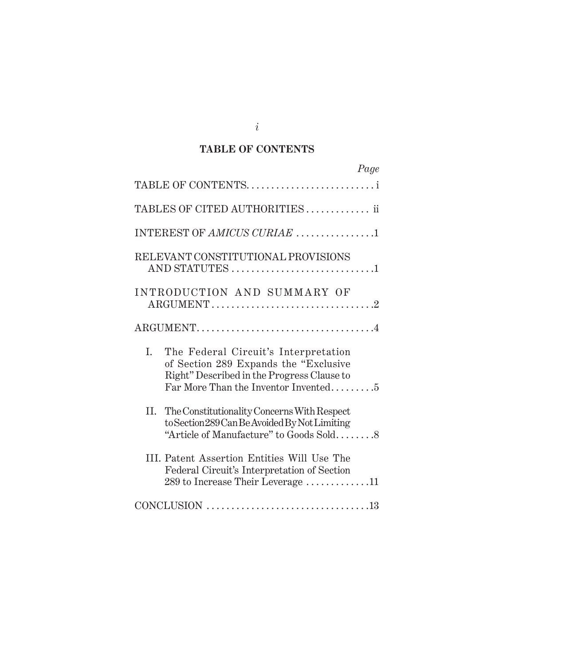### **TABLE OF CONTENTS**

| Page                                                                                                                                                                      |
|---------------------------------------------------------------------------------------------------------------------------------------------------------------------------|
| TABLE OF CONTENTS                                                                                                                                                         |
| TABLES OF CITED AUTHORITIES ii                                                                                                                                            |
| INTEREST OF AMICUS CURIAE 1                                                                                                                                               |
| RELEVANT CONSTITUTIONAL PROVISIONS<br>AND STATUTES 1                                                                                                                      |
| INTRODUCTION AND SUMMARY OF                                                                                                                                               |
|                                                                                                                                                                           |
| The Federal Circuit's Interpretation<br>L.<br>of Section 289 Expands the "Exclusive<br>Right" Described in the Progress Clause to<br>Far More Than the Inventor Invented5 |
| The Constitutionality Concerns With Respect<br>Н.<br>to Section 289 Can Be Avoided By Not Limiting<br>"Article of Manufacture" to Goods Sold8                             |
| III. Patent Assertion Entities Will Use The<br>Federal Circuit's Interpretation of Section<br>289 to Increase Their Leverage $\ldots \ldots \ldots \ldots 11$             |
|                                                                                                                                                                           |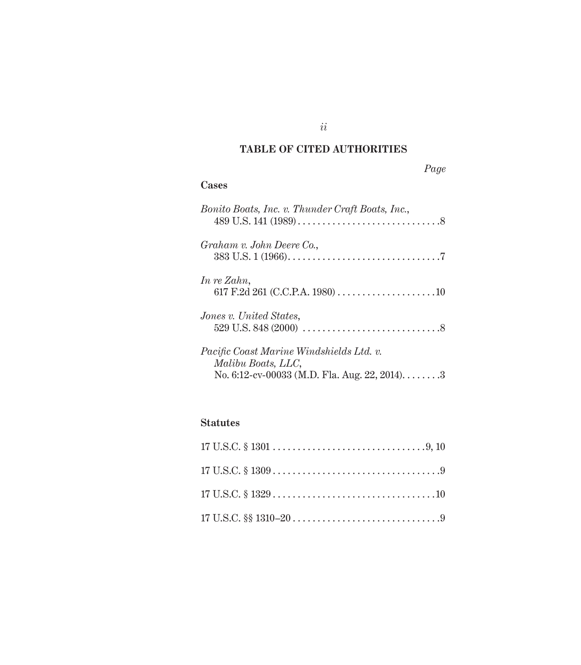## **TABLE OF CITED AUTHORITIES**

## *Page*

### **Cases**

| Bonito Boats, Inc. v. Thunder Craft Boats, Inc.,                                                               |
|----------------------------------------------------------------------------------------------------------------|
| Graham v. John Deere Co.,                                                                                      |
| In re Zahn,                                                                                                    |
| <i>Jones v. United States.</i>                                                                                 |
| Pacific Coast Marine Windshields Ltd. v.<br>Malibu Boats, LLC,<br>No. 6:12-cv-00033 (M.D. Fla. Aug. 22, 2014)3 |

## **Statutes**

### *ii*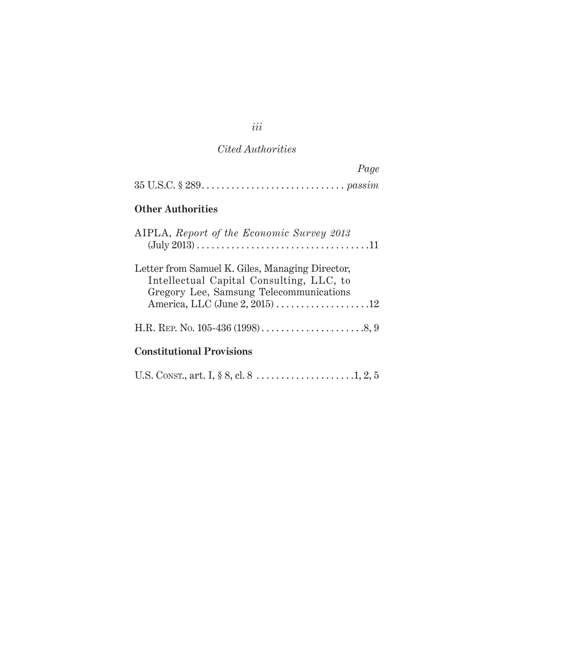### *Cited Authorities*

| Page                                                                                                                                   |
|----------------------------------------------------------------------------------------------------------------------------------------|
|                                                                                                                                        |
| <b>Other Authorities</b>                                                                                                               |
| AIPLA, Report of the Economic Survey 2013<br>$(July 2013) 11$                                                                          |
| Letter from Samuel K. Giles, Managing Director,<br>Intellectual Capital Consulting, LLC, to<br>Gregory Lee, Samsung Telecommunications |
|                                                                                                                                        |

## **Constitutional Provisions**

|--|--|--|--|--|--|--|--|

*iii*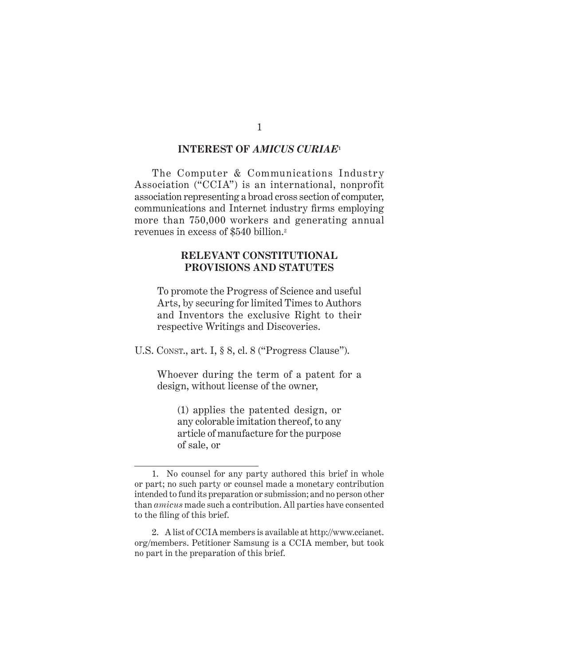#### **INTEREST OF** *AMICUS CURIAE***<sup>1</sup>**

The Computer & Communications Industry Association ("CCIA") is an international, nonprofit association representing a broad cross section of computer, communications and Internet industry firms employing more than 750,000 workers and generating annual revenues in excess of \$540 billion.<sup>2</sup>

#### **RELEVANT CONSTITUTIONAL PROVISIONS AND STATUTES**

To promote the Progress of Science and useful Arts, by securing for limited Times to Authors and Inventors the exclusive Right to their respective Writings and Discoveries.

U.S. Const., art. I, § 8, cl. 8 ("Progress Clause").

Whoever during the term of a patent for a design, without license of the owner,

(1) applies the patented design, or any colorable imitation thereof, to any article of manufacture for the purpose of sale, or

<sup>1.</sup> No counsel for any party authored this brief in whole or part; no such party or counsel made a monetary contribution intended to fund its preparation or submission; and no person other than *amicus* made such a contribution. All parties have consented to the filing of this brief.

<sup>2.</sup> A list of CCIA members is available at http://www.ccianet. org/members. Petitioner Samsung is a CCIA member, but took no part in the preparation of this brief.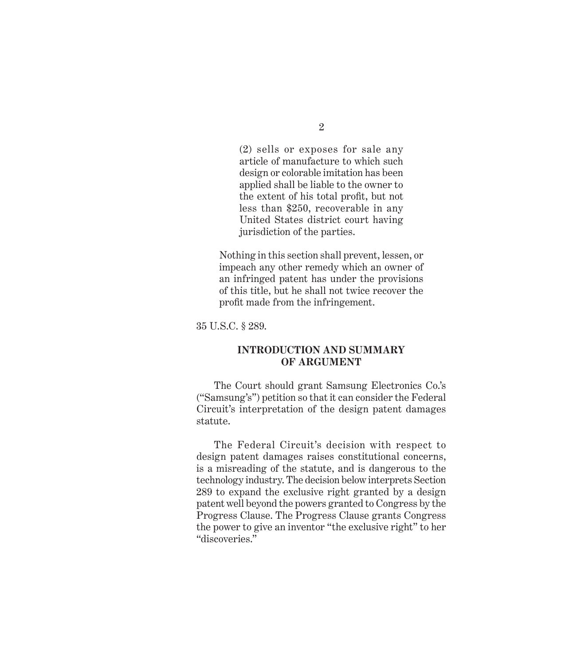(2) sells or exposes for sale any article of manufacture to which such design or colorable imitation has been applied shall be liable to the owner to the extent of his total profit, but not less than \$250, recoverable in any United States district court having jurisdiction of the parties.

Nothing in this section shall prevent, lessen, or impeach any other remedy which an owner of an infringed patent has under the provisions of this title, but he shall not twice recover the profit made from the infringement.

35 U.S.C. § 289.

#### **INTRODUCTION AND SUMMARY OF ARGUMENT**

The Court should grant Samsung Electronics Co.'s ("Samsung's") petition so that it can consider the Federal Circuit's interpretation of the design patent damages statute.

The Federal Circuit's decision with respect to design patent damages raises constitutional concerns, is a misreading of the statute, and is dangerous to the technology industry. The decision below interprets Section 289 to expand the exclusive right granted by a design patent well beyond the powers granted to Congress by the Progress Clause. The Progress Clause grants Congress the power to give an inventor "the exclusive right" to her "discoveries."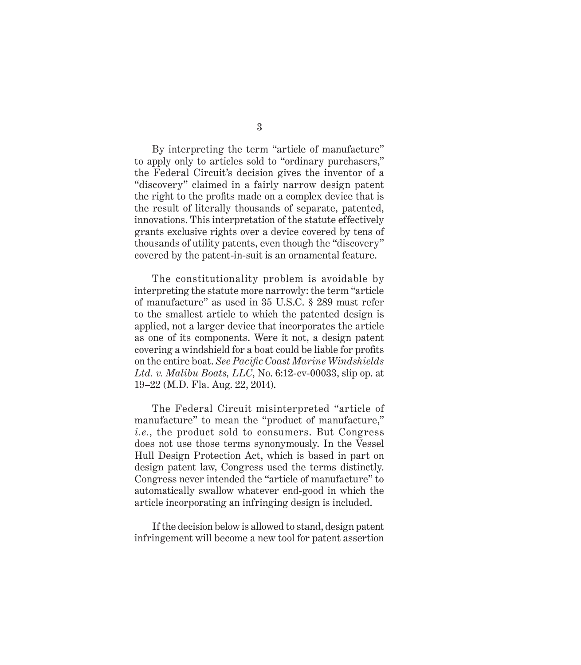By interpreting the term "article of manufacture" to apply only to articles sold to "ordinary purchasers," the Federal Circuit's decision gives the inventor of a "discovery" claimed in a fairly narrow design patent the right to the profits made on a complex device that is the result of literally thousands of separate, patented, innovations. This interpretation of the statute effectively grants exclusive rights over a device covered by tens of thousands of utility patents, even though the "discovery" covered by the patent-in-suit is an ornamental feature.

The constitutionality problem is avoidable by interpreting the statute more narrowly: the term "article of manufacture" as used in 35 U.S.C. § 289 must refer to the smallest article to which the patented design is applied, not a larger device that incorporates the article as one of its components. Were it not, a design patent covering a windshield for a boat could be liable for profits on the entire boat. *See Pacific Coast Marine Windshields Ltd. v. Malibu Boats, LLC*, No. 6:12-cv-00033, slip op. at 19–22 (M.D. Fla. Aug. 22, 2014).

The Federal Circuit misinterpreted "article of manufacture" to mean the "product of manufacture," *i.e.*, the product sold to consumers. But Congress does not use those terms synonymously. In the Vessel Hull Design Protection Act, which is based in part on design patent law, Congress used the terms distinctly. Congress never intended the "article of manufacture" to automatically swallow whatever end-good in which the article incorporating an infringing design is included.

If the decision below is allowed to stand, design patent infringement will become a new tool for patent assertion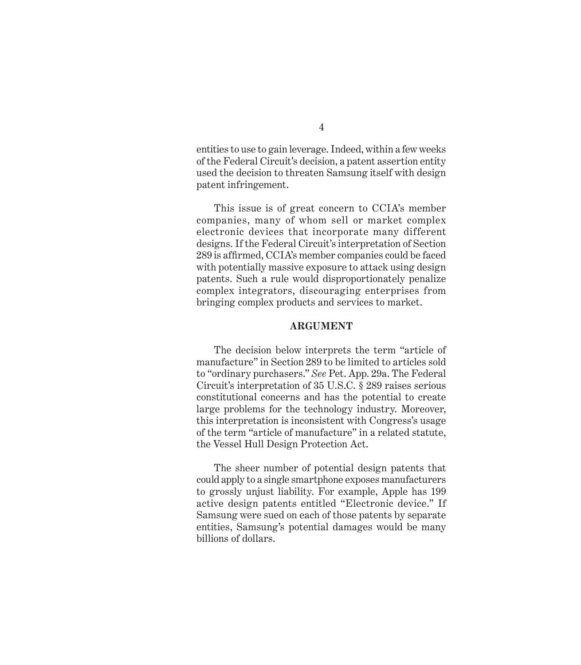entities to use to gain leverage. Indeed, within a few weeks of the Federal Circuit's decision, a patent assertion entity used the decision to threaten Samsung itself with design patent infringement.

This issue is of great concern to CCIA's member companies, many of whom sell or market complex electronic devices that incorporate many different designs. If the Federal Circuit's interpretation of Section 289 is affirmed, CCIA's member companies could be faced with potentially massive exposure to attack using design patents. Such a rule would disproportionately penalize complex integrators, discouraging enterprises from bringing complex products and services to market.

#### **ARGUMENT**

The decision below interprets the term "article of manufacture" in Section 289 to be limited to articles sold to "ordinary purchasers." *See* Pet. App. 29a. The Federal Circuit's interpretation of 35 U.S.C. § 289 raises serious constitutional concerns and has the potential to create large problems for the technology industry. Moreover, this interpretation is inconsistent with Congress's usage of the term "article of manufacture" in a related statute, the Vessel Hull Design Protection Act.

The sheer number of potential design patents that could apply to a single smartphone exposes manufacturers to grossly unjust liability. For example, Apple has 199 active design patents entitled "Electronic device." If Samsung were sued on each of those patents by separate entities, Samsung's potential damages would be many billions of dollars.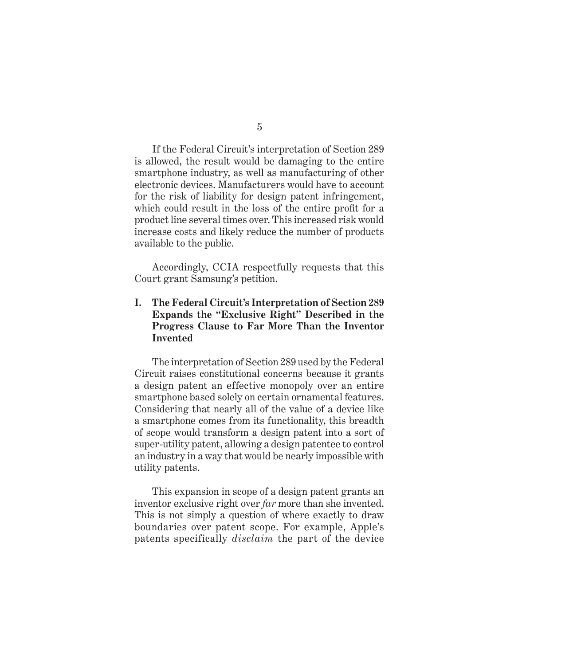If the Federal Circuit's interpretation of Section 289 is allowed, the result would be damaging to the entire smartphone industry, as well as manufacturing of other electronic devices. Manufacturers would have to account for the risk of liability for design patent infringement, which could result in the loss of the entire profit for a product line several times over. This increased risk would increase costs and likely reduce the number of products available to the public.

Accordingly, CCIA respectfully requests that this Court grant Samsung's petition.

### **I. The Federal Circuit's Interpretation of Section 289 Expands the "Exclusive Right" Described in the Progress Clause to Far More Than the Inventor Invented**

The interpretation of Section 289 used by the Federal Circuit raises constitutional concerns because it grants a design patent an effective monopoly over an entire smartphone based solely on certain ornamental features. Considering that nearly all of the value of a device like a smartphone comes from its functionality, this breadth of scope would transform a design patent into a sort of super-utility patent, allowing a design patentee to control an industry in a way that would be nearly impossible with utility patents.

This expansion in scope of a design patent grants an inventor exclusive right over *far* more than she invented. This is not simply a question of where exactly to draw boundaries over patent scope. For example, Apple's patents specifically *disclaim* the part of the device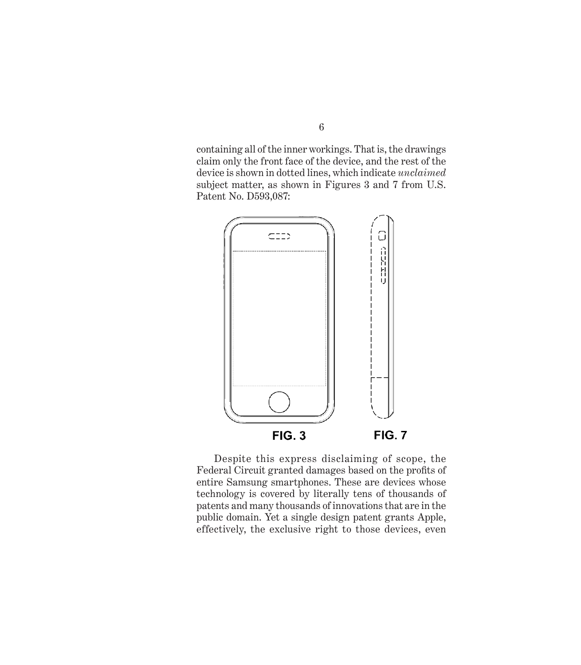containing all of the inner workings. That is, the drawings claim only the front face of the device, and the rest of the device is shown in dotted lines, which indicate *unclaimed* subject matter, as shown in Figures 3 and 7 from U.S. Patent No. D593,087:



Despite this express disclaiming of scope, the Federal Circuit granted damages based on the profits of entire Samsung smartphones. These are devices whose technology is covered by literally tens of thousands of patents and many thousands of innovations that are in the public domain. Yet a single design patent grants Apple, effectively, the exclusive right to those devices, even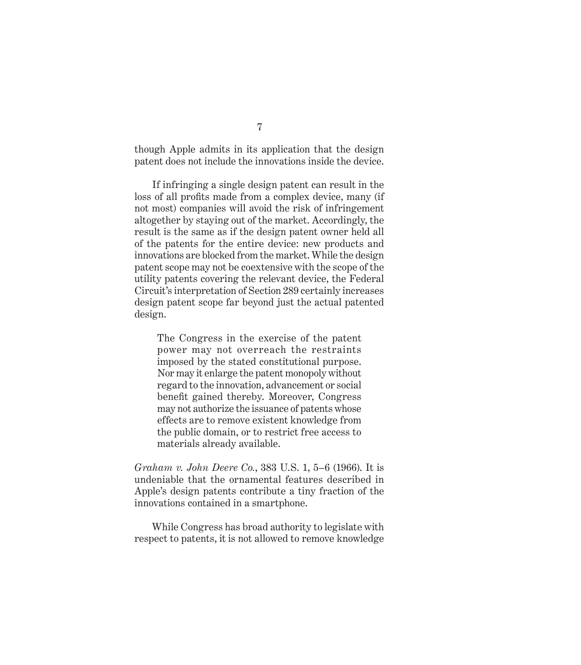though Apple admits in its application that the design patent does not include the innovations inside the device.

If infringing a single design patent can result in the loss of all profits made from a complex device, many (if not most) companies will avoid the risk of infringement altogether by staying out of the market. Accordingly, the result is the same as if the design patent owner held all of the patents for the entire device: new products and innovations are blocked from the market. While the design patent scope may not be coextensive with the scope of the utility patents covering the relevant device, the Federal Circuit's interpretation of Section 289 certainly increases design patent scope far beyond just the actual patented design.

The Congress in the exercise of the patent power may not overreach the restraints imposed by the stated constitutional purpose. Nor may it enlarge the patent monopoly without regard to the innovation, advancement or social benefit gained thereby. Moreover, Congress may not authorize the issuance of patents whose effects are to remove existent knowledge from the public domain, or to restrict free access to materials already available.

*Graham v. John Deere Co.*, 383 U.S. 1, 5–6 (1966). It is undeniable that the ornamental features described in Apple's design patents contribute a tiny fraction of the innovations contained in a smartphone.

While Congress has broad authority to legislate with respect to patents, it is not allowed to remove knowledge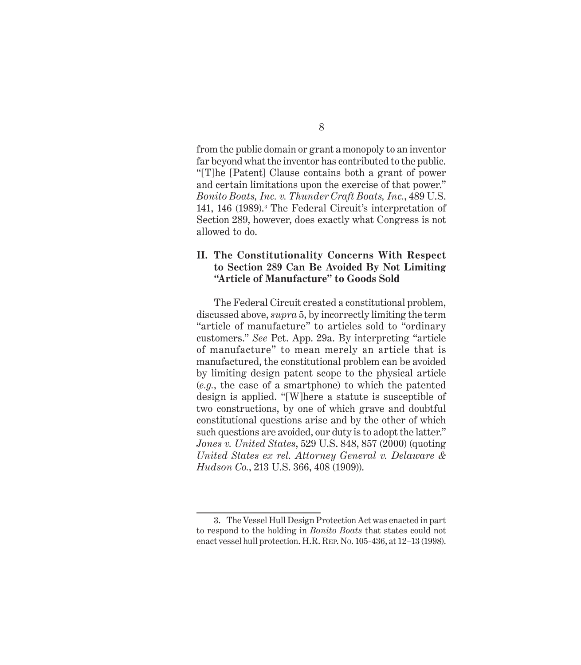from the public domain or grant a monopoly to an inventor far beyond what the inventor has contributed to the public. "[T]he [Patent] Clause contains both a grant of power and certain limitations upon the exercise of that power." *Bonito Boats, Inc. v. Thunder Craft Boats, Inc.*, 489 U.S. 141, 146 (1989).<sup>3</sup> The Federal Circuit's interpretation of Section 289, however, does exactly what Congress is not allowed to do.

#### **II. The Constitutionality Concerns With Respect to Section 289 Can Be Avoided By Not Limiting "Article of Manufacture" to Goods Sold**

The Federal Circuit created a constitutional problem, discussed above, *supra* 5, by incorrectly limiting the term "article of manufacture" to articles sold to "ordinary customers." *See* Pet. App. 29a. By interpreting "article of manufacture" to mean merely an article that is manufactured, the constitutional problem can be avoided by limiting design patent scope to the physical article (*e.g.*, the case of a smartphone) to which the patented design is applied. "[W]here a statute is susceptible of two constructions, by one of which grave and doubtful constitutional questions arise and by the other of which such questions are avoided, our duty is to adopt the latter." *Jones v. United States*, 529 U.S. 848, 857 (2000) (quoting *United States ex rel. Attorney General v. Delaware & Hudson Co.*, 213 U.S. 366, 408 (1909)).

<sup>3.</sup> The Vessel Hull Design Protection Act was enacted in part to respond to the holding in *Bonito Boats* that states could not enact vessel hull protection. H.R. Rep. No. 105-436, at 12–13 (1998).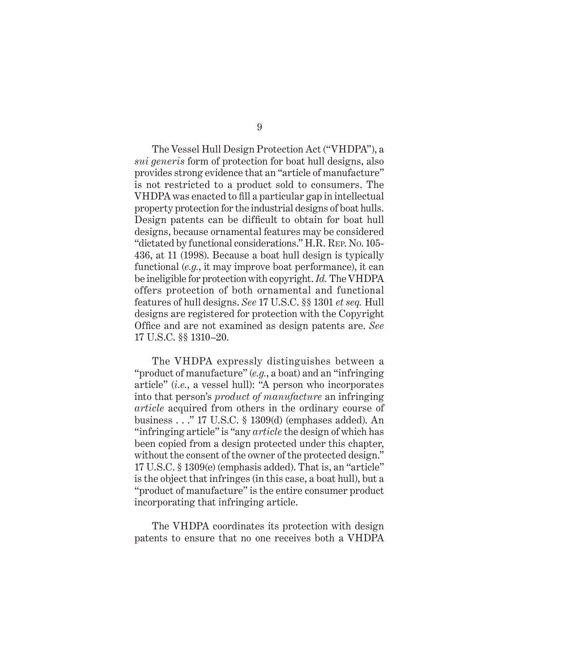The Vessel Hull Design Protection Act ("VHDPA"), a *sui generis* form of protection for boat hull designs, also provides strong evidence that an "article of manufacture" is not restricted to a product sold to consumers. The VHDPA was enacted to fill a particular gap in intellectual property protection for the industrial designs of boat hulls. Design patents can be difficult to obtain for boat hull designs, because ornamental features may be considered "dictated by functional considerations." H.R. Rep. No. 105- 436, at 11 (1998). Because a boat hull design is typically functional (*e.g.*, it may improve boat performance), it can be ineligible for protection with copyright. *Id.* The VHDPA offers protection of both ornamental and functional features of hull designs. *See* 17 U.S.C. §§ 1301 *et seq.* Hull designs are registered for protection with the Copyright Office and are not examined as design patents are. *See*  17 U.S.C. §§ 1310–20.

The VHDPA expressly distinguishes between a "product of manufacture" (*e.g.*, a boat) and an "infringing article" (*i.e.*, a vessel hull): "A person who incorporates into that person's *product of manufacture* an infringing *article* acquired from others in the ordinary course of business . . ." 17 U.S.C. § 1309(d) (emphases added). An "infringing article" is "any *article* the design of which has been copied from a design protected under this chapter, without the consent of the owner of the protected design." 17 U.S.C. § 1309(e) (emphasis added). That is, an "article" is the object that infringes (in this case, a boat hull), but a "product of manufacture" is the entire consumer product incorporating that infringing article.

The VHDPA coordinates its protection with design patents to ensure that no one receives both a VHDPA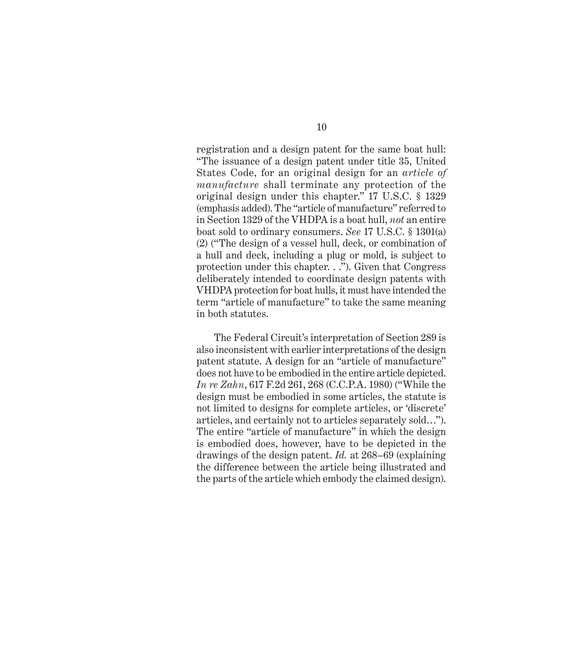registration and a design patent for the same boat hull: "The issuance of a design patent under title 35, United States Code, for an original design for an *article of manufacture* shall terminate any protection of the original design under this chapter." 17 U.S.C. § 1329 (emphasis added). The "article of manufacture" referred to in Section 1329 of the VHDPA is a boat hull, *not* an entire boat sold to ordinary consumers. *See* 17 U.S.C. § 1301(a) (2) ("The design of a vessel hull, deck, or combination of a hull and deck, including a plug or mold, is subject to protection under this chapter. . ."). Given that Congress deliberately intended to coordinate design patents with VHDPA protection for boat hulls, it must have intended the term "article of manufacture" to take the same meaning in both statutes.

The Federal Circuit's interpretation of Section 289 is also inconsistent with earlier interpretations of the design patent statute. A design for an "article of manufacture" does not have to be embodied in the entire article depicted. *In re Zahn*, 617 F.2d 261, 268 (C.C.P.A. 1980) ("While the design must be embodied in some articles, the statute is not limited to designs for complete articles, or 'discrete' articles, and certainly not to articles separately sold…"). The entire "article of manufacture" in which the design is embodied does, however, have to be depicted in the drawings of the design patent. *Id.* at 268–69 (explaining the difference between the article being illustrated and the parts of the article which embody the claimed design).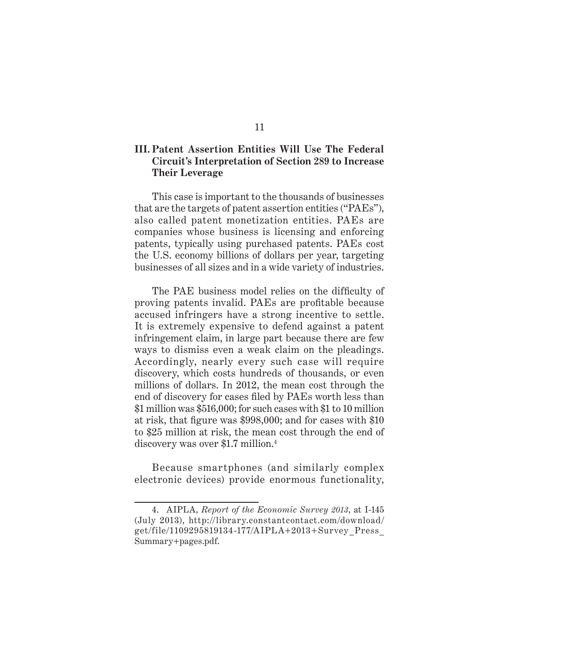#### **III. Patent Assertion Entities Will Use The Federal Circuit's Interpretation of Section 289 to Increase Their Leverage**

This case is important to the thousands of businesses that are the targets of patent assertion entities ("PAEs"), also called patent monetization entities. PAEs are companies whose business is licensing and enforcing patents, typically using purchased patents. PAEs cost the U.S. economy billions of dollars per year, targeting businesses of all sizes and in a wide variety of industries.

The PAE business model relies on the difficulty of proving patents invalid. PAEs are profitable because accused infringers have a strong incentive to settle. It is extremely expensive to defend against a patent infringement claim, in large part because there are few ways to dismiss even a weak claim on the pleadings. Accordingly, nearly every such case will require discovery, which costs hundreds of thousands, or even millions of dollars. In 2012, the mean cost through the end of discovery for cases filed by PAEs worth less than \$1 million was \$516,000; for such cases with \$1 to 10 million at risk, that figure was \$998,000; and for cases with \$10 to \$25 million at risk, the mean cost through the end of discovery was over \$1.7 million.<sup>4</sup>

Because smartphones (and similarly complex electronic devices) provide enormous functionality,

<sup>4.</sup> AIPLA, *Report of the Economic Survey 2013*, at I-145 (July 2013), http://library.constantcontact.com/download/ get/file/1109295819134-177/AIPLA+2013+Survey \_Press\_ Summary+pages.pdf.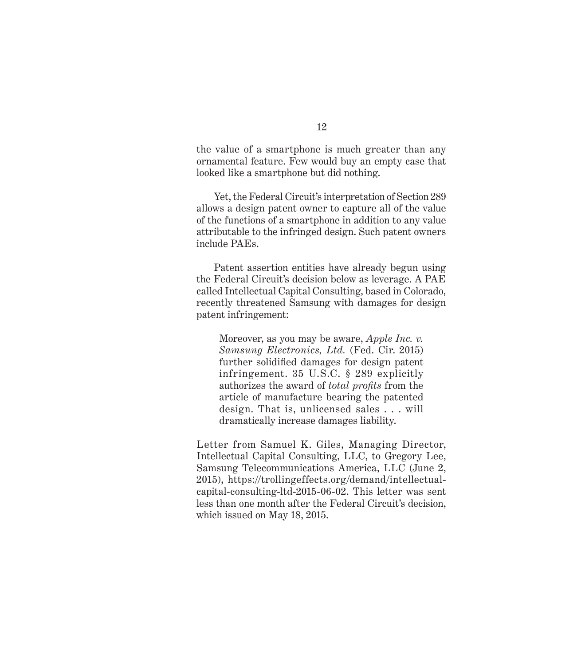the value of a smartphone is much greater than any ornamental feature. Few would buy an empty case that looked like a smartphone but did nothing.

Yet, the Federal Circuit's interpretation of Section 289 allows a design patent owner to capture all of the value of the functions of a smartphone in addition to any value attributable to the infringed design. Such patent owners include PAEs.

Patent assertion entities have already begun using the Federal Circuit's decision below as leverage. A PAE called Intellectual Capital Consulting, based in Colorado, recently threatened Samsung with damages for design patent infringement:

Moreover, as you may be aware, *Apple Inc. v. Samsung Electronics, Ltd.* (Fed. Cir. 2015) further solidified damages for design patent infringement. 35 U.S.C. § 289 explicitly authorizes the award of *total profits* from the article of manufacture bearing the patented design. That is, unlicensed sales . . . will dramatically increase damages liability.

Letter from Samuel K. Giles, Managing Director, Intellectual Capital Consulting, LLC, to Gregory Lee, Samsung Telecommunications America, LLC (June 2, 2015), https://trollingeffects.org/demand/intellectualcapital-consulting-ltd-2015-06-02. This letter was sent less than one month after the Federal Circuit's decision, which issued on May 18, 2015.